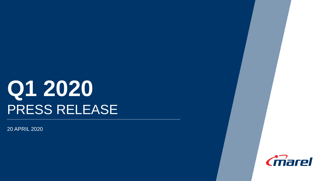# **Q1 2020** PRESS RELEASE

20 APRIL 2020

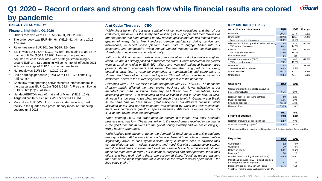### *Cmarel* **Q1 2020 – Record orders and strong cash flow while financial results are colored by pandemic**

#### **EXECUTIVE SUMMARY**

#### **Financial highlights Q1 2020**

- Orders received were EUR 351.8m (1Q19: 323.3m).
- The order book was EUR 464.6m (YE19: 414.4m and 1Q19: 474.7m).
- Revenues were EUR 301.6m (1Q19: 324.6m).
- EBIT\* was EUR 25.4m (1Q19: 47.5m), translating to an EBIT\* margin of 8.4% (1Q19: 14.6%). Non-recurring and not adjusted for cost associated with strategic streamlining is around EUR 3m. Streamlining will come into full effect in 2021 with cost savings of EUR 6m on an annual basis.
- Net result was EUR 13.4m (1Q19: 32.2m).
- Basic earnings per share (EPS) were EUR 1.76 cents (1Q19: 4.85 cents).
- Cash flow from operating activities before interest and tax in the quarter was EUR 61.5m (1Q19: 59.6m). Free cash flow at EUR 38.6m (1Q19: 44.0m).
- Net debt/EBITDA was x0.4 at end of March (YE19: x0.4). Targeted capital structure is x2-3 net debt/EBITDA.
- Marel drew EUR 600m from its syndicated revolving credit facility in the quarter as a precautionary measure, financing secured until 2025.

#### **Árni Oddur Thórdarson, CEO**

*."*

*"While focusing on the business continuity of our own operations and that of our customers, we have put the safety and wellbeing of our people and their families as our first priority. We have adapted to new realities quickly and this has indeed been a quarter of many firsts. We introduced remote assistance during service and installations, launched online platform Marel Live to engage better with our customers, and conducted a hybrid Annual General Meeting on the set date where shareholders could attend and vote virtually.*

*With a robust financial and cash position, an innovative product portfolio and global reach, we are in a strong position to weather the storm. Orders received in the quarter were at an all-time high or EUR 352 million, and were well balanced between large projects, standard equipment and spares. We are also using part of our strong operating cash flow to ramp up inventories of manufacturing and spare parts to shorten lead times of equipment and spares. This will allow us to better serve our customers' needs in the current logistical challenges due to the pandemic.*

*Revenues were EUR 302 million in the first quarter with EBIT of 8.4%. The pandemic situation mainly affected the meat project business with lower utilization in our manufacturing hubs in China, Germany and Brazil due to precautious social distancing protocols. It is reassuring to see utilization levels in China back at 90%, although it is too early to tell when we will reach those levels in Germany and Brazil. At the same time we have shown great resilience in our aftercare business. While utilization of our field service engineers was affected by travel and visit restrictions, there was double-digit growth in spares revenues. Aftercare revenues account for 41% of total revenues in the first quarter.*

*When entering 2020, the order book for poultry, our largest and most profitable business unit, was low. The largest driver in the record orders received in the quarter is the good momentum overall in the global poultry industry and we are entering Q2 with a healthy order book.*

*While families take shelter at home, the demand for retail stores and online platforms has skyrocketed. At the same time, foodservice demand from hotel and restaurants is significantly down. In such dynamic shifts, many customers need to advance their current platforms with modular solutions and need first class maintenance support and short lead times of spares and solutions. I would like to take this opportunity and thank our team here at Marel, our customers, suppliers and other partners, for all their efforts and hard work during these unprecedented times. Together, we are ensuring that one of the most important value chains in the world remains operational – the food value chain."*

#### **KEY FIGURES** (EUR m)

| As per financial statements                     | <b>1Q20</b> | 1Q19  | Change   |
|-------------------------------------------------|-------------|-------|----------|
| Revenues                                        | 301.6       | 324.6 | $-7.1%$  |
| Gross profit                                    | 107.3       | 125.4 | $-14.4%$ |
| Gross profit as a % of revenues                 | 35.6%       | 38.6% |          |
| Adjusted result from operations (Adjusted EBIT) | 25.4        | 47.5  | $-46.5%$ |
| EBIT* as a % of revenues                        | 8.4%        | 14.6% |          |
| <b>EBITDA</b>                                   | 37.6        | 59.1  | $-36.4%$ |
| EBITDA as a % of revenues                       | 12.5%       | 18.2% |          |
| PPA related costs                               | (2.6)       | (2.6) |          |
| Result from operations (EBIT)                   | 22.8        | 44.9  | $-49.2%$ |
| EBIT as a % of revenues                         | 7.6%        | 13.8% |          |
| Net result                                      | 13.4        | 32.2  | $-58.4%$ |
| Net result as a % of revenues                   | 4.4%        | 9.9%  |          |
| <b>Orders Received</b>                          | 351.8       | 323.3 | 8.8%     |
| Order Book                                      | 464.6       | 474.7 | $-2.1%$  |

| Cash flows                                | <b>1Q20</b> | 1Q19   |
|-------------------------------------------|-------------|--------|
| Cash generated from operating activities, |             |        |
| before interest & tax                     | 61.5        | 59.6   |
| Net cash from (to) operating activities   | 44.0        | 52.3   |
| Investing activities                      | (10.5)      | (10.8) |
| Financing activities                      | 361.8       | (49.6) |
| Net cash flow                             | 395.3       | (8.1)  |
|                                           |             |        |
|                                           | 31/03       | 31/12  |
| <b>Financial position</b>                 | 2020        | 2019   |
| Net Debt (Including Lease liabilities)    | 84.2        | 97.6   |
| Operational working capital <sup>1)</sup> | 43.3        | 64.0   |

<sup>1)</sup> Trade receivables, Inventories, net Contract assets & Contract liabilities, Trade payables.

| Key ratios                                                         | <b>1Q20</b> | 1Q19  |
|--------------------------------------------------------------------|-------------|-------|
| Current ratio                                                      | 2.2         | 0.9   |
| Quick ratio                                                        | 1.9         | 0.6   |
| Return on equity                                                   | 5.8%        | 23.7% |
| Leverage <sup>2)</sup>                                             | 0.4         | 2.2   |
| Number of outstanding shares (millions)                            | 755.9       | 659.7 |
| Market capitalization in EUR billion based on                      |             |       |
| exchange rate at end of period                                     | 2.7         | 2.6   |
| Basic earnings per share in EUR cents                              | 1.76        | 4.85  |
| <sup>2)</sup> Net Debt (Including Lease liabilities) / LTM EBITDA. |             |       |

**2**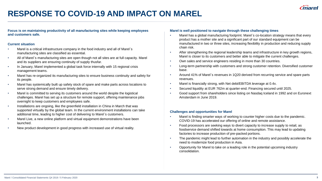

## **RESPONSE TO COVID-19 AND IMPACT ON MAREL**

**Focus is on maintaining productivity of all manufacturing sites while keeping employees and customers safe.**

#### **Current situation**

- Marel is a critical infrastructure company in the food industry and all of Marel's manufacturing sites are classified as essential.
- All of Marel´s manufacturing sites are open though not all sites are at full capacity. Marel and its suppliers are ensuring continuity of supply thusfar.
- In January, Marel implemented a global task force internally with 15 regional crisis management teams.
- Marel has re-organized its manufacturing sites to ensure business continuity and safety for its people.
- Marel has systemically built up safety stock of spare and make parts across locations to serve strong demand and ensure timely delivery.
- Marel is committed to serving its customers around the world despite the logistical challenges. Marel has set up a structure for remote support, offering maintenance jobs overnight to keep customers and employees safe.
- Installations are ongoing, like the greenfield installation in China in March that was supported virtually by the global team. In the current environment installations can take additional time, leading to higher cost of delivering to Marel´s customers.
- Marel Live, a new online platform and virtual equipment demonstrations have been launched.
- New product development in good progress with increased use of virtual reality.

#### **Marel is well positioned to navigate through these challenging times**

- Marel has a global manufacturing footprint. Marel´s co-location strategy means that every product has a mother site and a significant part of our standard equipment can be manufactured in two or three sites, increasing flexibility in production and reducing supply chain risk.
- After strengthening the regional leadership teams and infrastructure in key growth regions, Marel is closer to its customers and better able to mitigate the current challenges.
- Own sales and service engineers residing in more than 30 countries.
- Long-term partnership with customers and strong customer retention. Diversified customer base.
- Around 41% of Marel´s revenues in 1Q20 derived from recurring service and spare parts revenues.
- Marel is financially strong, with Net debt/EBITDA leverage at 0.4x.
- Secured liquidity at EUR 762m at quarter-end. Financing secured until 2025.
- Good support from shareholders since listing on Nasdaq Iceland in 1992 and on Euronext Amsterdam in June 2019.

#### **Challenges and opportunities for Marel**

- Marel is finding smarter ways of working to counter higher costs due to the pandemic. COVID-19 has accelerated our offering of online and remote assistance.
- Food processors are seeking ways to divert capacity to increase supply to retail, as foodservice demand shifted towards at home consumption. This may lead to updating factories to increase production of pre-packed portions.
- The pandemic might lead to further automation in the industry and possibly accelerate the need to modernize food production in Asia.
- Opportunity for Marel to take on a leading role in the potential upcoming industry consolidation.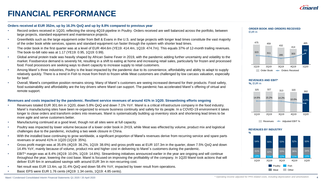# **FINANCIAL PERFORMANCE**

### **Orders received at EUR 352m, up by 16.3% QoQ and up by 8.8% compared to previous year**

- Record orders received in 1Q20, reflecting the strong 4Q19 pipeline in Poultry. Orders received are well balanced across the portfolio, between large projects, standard equipment and maintenance projects.
- Greenfields such as the large equipment order from Bell & Evans in the U.S. and large projects with longer lead times constitute the vast majority of the order book while services, spares and standard equipment run faster through the system with shorter lead times.
- The order book in the first quarter was at a level of EUR 464.6m (YE19: 414.4m, 1Q19: 474.7m). This equals 37% of 12-month trailing revenues. The book-to-bill ratio was at 1.17 (YE19: 0.95, 1Q19: 0.99).
- Global animal protein trade was heavily shaped by African Swine Fever in 2019, with the pandemic adding further uncertainty and volatility to the market. Foodservice demand is severely hit, resulting in a shift to eating at home and increasing retail sales, particularly for frozen and processed food. Food processors are seeking ways to divert capacity to increase supply to retail customers.
- Among Marel´s three industries, Poultry is the least impacted by the pandemic due to its convenience, affordability and ability to adapt to supply relatively quickly. There is a trend in Fish to move from fresh to frozen while Meat customers are challenged by low carcass valuation, especially for beef.
- Overall, Marel's competitive position remains strong. Many of Marel´s customers are seeing increased demand for their products. Food safety, food sustainability and affordability are the key drivers where Marel can support. The pandemic has accelerated Marel´s offering of virtual and remote support.

### **Revenues and costs impacted by the pandemic. Resilient service revenues of around 41% in 1Q20. Streamlining efforts ongoing**

- Revenues totaled EUR 301.6m in 1Q20, down 5.8% QoQ and down 7.1% YoY. Marel is a critical infrastructure company in the food industry. Marel´s manufacturing sites have been re-organized to ensure business continuity and safety for its people. In a COVID-19 environment it takes longer to close orders and transform orders into revenues. Marel is systematically building up inventory stock and shortening lead times to be more agile and serve customers better.
- Manufacturing continued at a good level, though not all sites were at full capacity.
- Poultry was impacted by lower volume because of a lower order book in 2H19, while Meat was effected by volume, product mix and logistical challenges due to the pandemic, including a two week closure in China.
- With the installed base continuing to grow worldwide, a significant proportion of Marel's revenues derive from recurring service and spare parts revenues or around 41% in 1Q20 (1Q19: 35%).
- Gross profit margin was at 35.6% (4Q19: 36.2%, 1Q19: 38.6%) and gross profit was at EUR 107.3m in the quarter, down 7.5% QoQ and down 14.4% YoY, mainly because of volume, product mix and higher cost in delivering to Marel´s customers during the pandemic.
- EBIT\* margin was at 8.4% (4Q19: 10.0%, 1Q19: 14.6%). Streamlining initiatives announced earlier in the year are ongoing and will continue throughout the year, lowering the cost base. Marel is focused on improving the profitability of the company. In 1Q20 Marel took actions that will deliver EUR 6m in annualized savings with around EUR 3m in non-recurring cost.
- Net result was EUR 13.4m, up 31.4% QoQ and down 58.4% YoY, impacted by lower result from operations.
- Basic EPS were EUR 1.76 cents (4Q19: 1.34 cents, 1Q19: 4.85 cents).



#### **REVENUES AND EBIT\* %,** EUR m





#### **REVENUES BY INDUSTRY**



**4**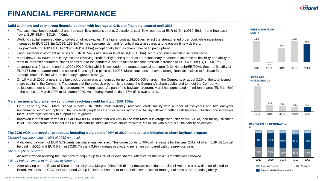# **FINANCIAL PERFORMANCE**

### **Solid cash flow and very strong financial position with leverage at 0.4x and financing secured until 2025**

- The cash flow, both operational and free cash flow remains strong. Operational cash flow reported at EUR 61.5m (1Q19: 59.6m) and free cash flow at EUR 38.6m (1Q19: 44.0m).
- Working capital improved due to collection of receivables. The higher contract liabilities reflect the strengthened order book while inventories increased to EUR 173.8m (1Q19: 159.1m) to meet customer demand for critical parts in spares and to ensure timely delivery.
- Tax payments for 1Q20 at EUR 13.4m (1Q19: 4.8m) exceptionally high as taxes have been paid upfront.
- Cash flow from investment activities of EUR 10.5m is at a similar level as 1Q19 (10.8m). Marel continues investing in its business.
- Marel drew EUR 600m from its syndicated revolving credit facility in the quarter as a precautionary measure to increase its flexibility and ability to react to unforeseen future business needs due to the pandemic. As a result the net cash position increased to EUR 695.1m (1Q19: 50.1m).
- Leverage is at 0.4x at the end of 1Q20 (4Q19: 0.4x) which is well under the targeted capital structure (2-3x Net debt/EBITDA). Secured liquidity of EUR 761.8m at quarter-end and secured financing is in place until 2025. Marel continues to have a strong financial position to facilitate future strategic moves in line with the company´s growth strategy.
- On 10 March 2020, a new share buyback program was announced for up to 25,000,000 shares in the Company, or about 3.2% of the total issued share capital in the Company. The purpose of the buyback program is to reduce the Company's share capital and to meet the Company's obligations under share incentive programs with employees. As part of the buyback program, Marel has purchased 4.4 million shares (EUR 14.5m) in the period 11 March 2020 to 31 March 2020. As of today Marel holds 2.17% of its own shares.

#### **Marel secures a favorable new syndicated revolving credit facility of EUR 700m**

- On 5 February 2020, Marel signed a new EUR 700m multi-currency, revolving credit facility with a tenor of five-years and two one-year uncommitted extension options. The new facility replaces the prior senior syndicated facility, allowing better cash balance utilization and increases Marel´s strategic flexibility to support future growth.
- Improved interest rate terms at EURIBOR/LIBOR +80bps that will vary in line with Marel's leverage ratio (Net debt/EBITDA) and facility utilization level. The new credit facility includes a sustainability linked incentive structure with KPI´s in line with Marel´s sustainability objectives.

#### The 2020 AGM approved all proposals, including a dividend of 40% of 2019 net result and initiation of share buyback program

#### *Dividend corresponding to 40% of 2019 net result*

• A dividend payment of EUR 5.79 cents per share was declared. This corresponds to 40% of net results for the year 2019, of which EUR 38.1m will be paid in 2Q20 and EUR 5.8m in 3Q20. This is a 3.9% increase in dividend per share compared with the previous year.

### *Share buyback program*

• An authorization allowing the Company to acquire up to 10% of its own shares, effective for the next 18 months was renewed.

#### *Lillie Li Valeur elected to the Board of Directors*

• After serving on the Board of Directors for 14 years, Margrét Jónsdóttir did not declare candidature. Lillie Li Valeur is a new director elected to the Board. Valeur is the CEO for Good Food Group in Denmark and prior to that held several senior managerial roles at Arla Foods globally.





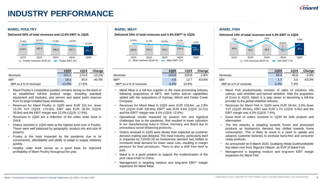### **INDUSTRY PERFORMANCE**

#### **MAREL POULTRY MAREL MEAT MAREL FISH**



|                         | <b>1Q20</b> | <b>1Q19</b> | Change    |
|-------------------------|-------------|-------------|-----------|
| Revenues                | 151.1       | 174.0       | $-13.2\%$ |
| <b>FBIT</b>             | 18.2        | 30.6        | -40.5%    |
| EBIT as a % of revenues | 12.0%       | 17.6%       |           |

- Marel Poultry's competitive position remains strong on the back of its established full-line product range, including standard equipment and modules, and service and spare parts revenue from its large installed base worldwide.
- Revenues for Marel Poultry in 1Q20 were EUR 151.1m, down 13.2% YoY (1Q19: 174.0m). EBIT was EUR 18.2m (1Q19: 30.6m) and the EBIT margin was 12.0% (1Q19: 17.6%).
- Revenues in 1Q20 are a reflection of the softer order book in 2H19.
- Orders received in 1Q20 were at the highest level ever in Poultry. These were well balanced by geography, product mix and size of projects.
- Poultry is the least impacted by the pandemic due to its convenience, affordability and ability to adapt to supply relatively quickly.
- Healthy order book serves as a good base for improved profitability of Marel Poultry throughout the year.

**Delivered 50% of total revenues and 12.0% EBIT in 1Q20. Delivered 34% of total revenues and 4.4% EBIT\* in 1Q20. Delivered 13% of total revenues and 4.3% EBIT in 1Q20.** 



|                             | 1Q20    | 1Q19  | Change |
|-----------------------------|---------|-------|--------|
| Revenues                    | 103.6   | 100.8 | 2.8%   |
| <b>FRIT*</b>                | 4.6     | 12.7  | -63.8% |
| $EBIT^*$ as a % of revenues | $4.4\%$ | 12.6% |        |

- Marel Meat is a full-line supplier to the meat processing industry following acquisitions of MPS, with further bolt-on capabilities added with the acquisitions of Sulmaq, MAJA and Cedar Creek Company.
- Revenues for Marel Meat in 1Q20 were EUR 103.6m, up 2.8% YoY (1Q19: EUR 100.8m). EBIT\* was EUR 4.6m (1Q19: 12.7m) and the EBIT\* margin was 4.4% (1Q19: 12.6%).
- Operational results impacted by product mix and logistical challenges due to the pandemic, that resulted in lower utilization in our manufacturing hubs in China, Germany and Brazil due to precautious social distancing protocols.
- Orders received in 1Q20 were slower than expected as customer decision making was delayed. The meat industry, particularly beef is impacted by COVID-19 as foodservice demand has shifted to increased retail demand for lower value cuts, resulting in margin pressure for food processors. There is also a shift from beef to pork.
- Marel is in a good position to support the modernization of the pork value chain in China.
- Management is targeting medium and long-term EBIT\* margin expansion for Marel Meat.



|                                | <b>1Q20</b> | 1Q19 | Change    |
|--------------------------------|-------------|------|-----------|
| <b>Revenues</b>                | 39.4        | 40.6 | $-3.0\%$  |
| FRIT                           | 17          | 3.0  | $-43.3\%$ |
| <b>EBIT</b> as a % of revenues | 4.3%        | 7.4% |           |

- Marel Fish predominantly consists of sales of solutions into salmon, wild whitefish and farmed whitefish. With the acquisition of Curio in 4Q19, Marel is a step closer to becoming a full-line provider to the global whitefish industry.
- Revenues for Marel Fish in 1Q20 were EUR 39.4m, 3.0% down YoY (1Q19: 40.6m). EBIT was EUR 1.7m (1Q19: 3.0m) and the EBIT margin was 4.3% (1Q19: 7.4%).
- Good level of orders received in 1Q20 for both projects and aftermarket.
- The fish industry is adapting towards frozen and processed products as foodservice demand has shifted towards home consumption. This is likely to result in a need to update and advance customer factories to increase bone-free and consumer ready products.
- As announced on 9 March 2020, Gudbjorg Heida Gudmundsdottir has taken over from Sigurdur Olason, as EVP of Marel Fish.
- Management is targeting medium and long-term EBIT margin expansion for Marel Fish.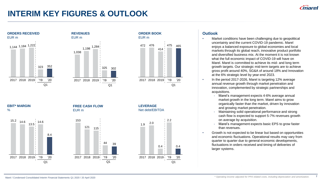**7**

## **INTERIM KEY FIGURES & OUTLOOK**



# **ORDER BOOK** EUR m **LEVERAGE** Q1 472 476 414 475 465 2017 2018 2019 '19 '20



### **Outlook**

- Market conditions have been challenging due to geopolitical uncertainty and the current COVID-19 pandemic. Marel enjoys a balanced exposure to global economies and local markets through its global reach, innovative product portfolio and diversified business mix. At the moment it is not known what the full economic impact of COVID-19 will have on Marel. Marel is committed to achieve its mid- and long term growth targets. Our strategic mid-term targets are to achieve gross profit around 40%, SG&A of around 18% and Innovation at the 6% strategic level by year-end 2023.
- In the period 2017-2026, Marel is targeting 12% average annual revenue growth through market penetration and innovation, complemented by strategic partnerships and acquisitions.
	- Marel's management expects 4-6% average annual market growth in the long term. Marel aims to grow organically faster than the market, driven by innovation and growing market penetration.
	- Maintaining solid operational performance and strong cash flow is expected to support 5-7% revenues growth on average by acquisition.
	- Marel's management expects basic EPS to grow faster than revenues.
- Growth is not expected to be linear but based on opportunities and economic fluctuations. Operational results may vary from quarter to quarter due to general economic developments, fluctuations in orders received and timing of deliveries of larger systems.

%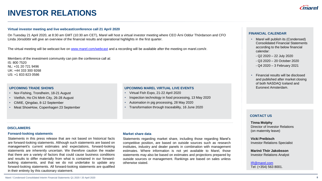## **INVESTOR RELATIONS**

#### **Virtual investor meeting and live webcast/conference call 21 April 2020**

On Tuesday 21 April 2020, at 8:30 am GMT (10:30 am CET), Marel will host a virtual investor meeting where CEO Árni Oddur Thórdarson and CFO Linda Jónsdóttir will give an overview of the financial results and operational highlights in the first quarter.

The virtual meeting will be webcast live on [www.marel.com/webcast](http://www.marel.com/webcast) and a recording will be available after the meeting on marel.com/ir.

Members of the investment community can join the conference call at: IS: 800 7520 NL: +31 20 721 9496 UK: +44 333 300 9268 US: +1 833 823 0586

#### **UPCOMING TRADE SHOWS**

- Nor-Fishing, Trondheim, 18-21 August
- Vietfish, Ho Chi Minh City, 26-28 August
- CIMIE, Qingdao, 8-12 September
- Meat ShowHow, Copenhagen 23 September

#### **UPCOMING MAREL VIRTUAL LIVE EVENTS**

- Virtual Fish Expo, 21-22 April 2020
- Inspection technology in food processing, 13 May 2020
- Automation in pig processing, 28 May 2020
- Transformation through traceability, 16 June 2020

#### **FINANCIAL CALENDAR**

- Marel will publish its (Condensed) Consolidated Financial Statements according to the below financial calendar:
	- Q2 2020 22 July 2020
- Q3 2020 20 October 2020
- Q4 2020 3 February 2021
- Financial results will be disclosed and published after market closing of both NASDAQ Iceland and Euronext Amsterdam.

#### **CONTACT US**

**Tinna Molphy** Director of Investor Relations (on maternity leave)

**Vicki Preibisch** Investor Relations Specialist

**Marinó Thór Jakobsson** Investor Relations Analyst

[IR@marel.com](mailto:IR@marel.com) Tel: (+354) 563 8001.

#### **DISCLAIMERS**

#### **Forward-looking statements**

Statements in this press release that are not based on historical facts are forward-looking statements. Although such statements are based on management's current estimates and expectations, forward-looking statements are inherently uncertain. We therefore caution the reader that there are a variety of factors that could cause business conditions and results to differ materially from what is contained in our forwardlooking statements, and that we do not undertake to update any forward-looking statements. All forward-looking statements are qualified in their entirety by this cautionary statement.

#### **Market share data**

Statements regarding market share, including those regarding Marel's competitive position, are based on outside sources such as research institutes, industry and dealer panels in combination with management estimates. Where information is not yet available to Marel, those statements may also be based on estimates and projections prepared by outside sources or management. Rankings are based on sales unless otherwise stated.